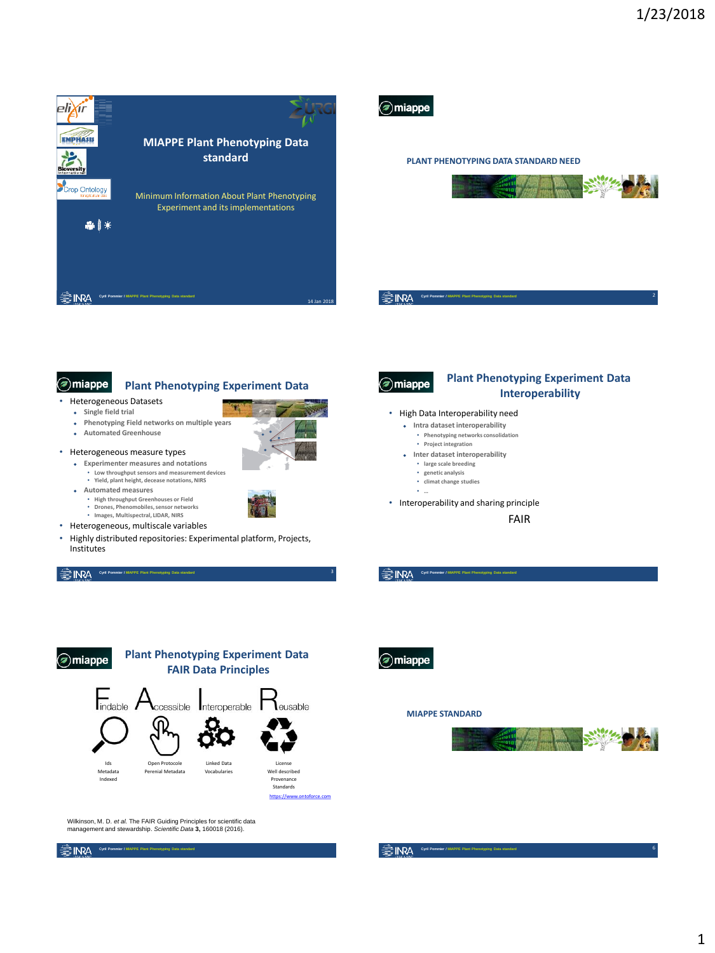



**Cyril Pommier / MIAPPE Plant Phenotyping Data standard** 

## a) miappe

### **Plant Phenotyping Experiment Data**

- Heterogeneous Datasets
- **Single field trial**
- **Phenotyping Field networks on multiple years**
- **Automated Greenhouse**
- Heterogeneous measure types
	- **Experimenter measures and notations** • **Low throughput sensors and measurement devices** • **Yield, plant height, decease notations, NIRS**
	- **Automated measures**
		- **High throughput Greenhouses or Field**
		- **Drones, Phenomobiles, sensor networks Images, Multispectral, LIDAR, NIRS**
- Heterogeneous, multiscale variables
- Highly distributed repositories: Experimental platform, Projects, Institutes

**Cyril Pommier / MAPPE Plant Phenotyping Data standard Cyril Pommier / MAPPE Plant Phenotyping Data standard** 





- 
- Interoperability and sharing principle

 **Intra dataset interoperability** • **Phenotyping networks consolidation** • **Project integration Inter dataset interoperability** • **large scale breeding** • **genetic analysis** • **climat change studies** • **…**

FAIR

**Plant Phenotyping Experiment Data Interoperability**



Wilkinson, M. D. *et al.* The FAIR Guiding Principles for scientific data management and stewardship. *Scientific Data* **3,** 160018 (2016).

**Cyril Pommier / MAPPE Plant Phenotyping Data standard Cyrill Pommier / MAPPE Plant Phenotyping Data st** 

a) miappe

**③ INRA** 

(a) miappe

●INRA

(a) miappe

#### **MIAPPE STANDARD**

**Cyril Pommier / MIAPPE Plant Phenotyping Data standard**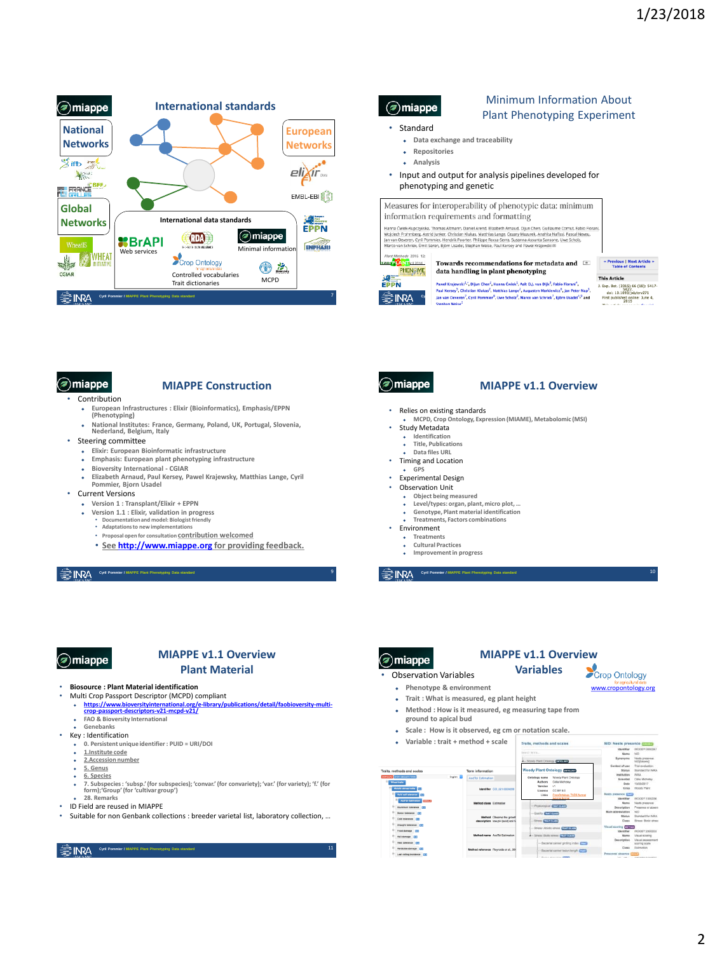

### $\mathcal{D}$ miappe

### Minimum Information About Plant Phenotyping Experiment

- Standard
	- **Data exchange and traceability**
	- **Repositories**
	- **Analysis**
- Input and output for analysis pipelines developed for phenotyping and genetic

Measures for interoperability of phenotypic data: minimum information requirements and formatting

Hanna Čwiek-Kupczyjskia, Thomas Altmann, Daniel Arend, Elizabeth Arnaud, Dijun Chen, Guillaume Cornut, Fab<br>Wojciech Frohmberg, Astrid Junker, Christian Ruleas, Matthias Lange, Cezary Mazurek, Analita Naffisi, Pascal N<br>Jan

Jan van Oeveren<sup>7</sup>, Cyril Pommier<sup>8</sup>, Uwe Scholz<sup>2</sup>, Marco van Schriek<sup>7</sup>, Björn Usadel<sup>4,9</sup> and<br>Stephan Weise<sup>2</sup>

Paweł Krajewski<sup>1,</sup>", Dijun Chen<sup>2</sup>, Hanna Ćwiek<sup>1</sup>, Aalt D.J. van Dijk<sup>3</sup>, Fabio Fiorani<sup>4</sup>, Paul Kersey<sup>5</sup>, Christian Klukas<sup>2</sup>, Matthias Lange<sup>2</sup>, Augustyn Markiewicz<sup>6</sup>, Jan Peter Nap<sup>3</sup>,



● INRA

**ALL** 

Towards recommendations for metadata and  $\quad \, \overline{\quad \, \cdot \, \, \cdot \, \,}$ PHENOME data handling in plant phenotyping

« Previous | Next Article »<br>Table of Contents

**This Article This Article**<br>
1. Exp. Bot. (2015) 66 (18): 5417-<br>
doi: 10.1093/jxb/erv271<br>
First published online: June 4,

Sec. (2015)<br>
Di: 10.1093/jxb/erv271<br>
published online: June 4,<br>
2015<br>
article annexe in Special

10

[www.cropontology.org](http://www.cropontology.org/)

## amiappe

### **MIAPPE Construction**

- Contribution
- - **European Infrastructures : Elixir (Bioinformatics), Emphasis/EPPN (Phenotyping)**
	- **National Institutes: France, Germany, Poland, UK, Portugal, Slovenia, Nederland, Belgium, Italy**
- Steering committee
	- **Elixir: European Bioinformatic infrastructure**
	- **Emphasis: European plant phenotyping infrastructure Bioversity International - CGIAR**
	-
	- **Elizabeth Arnaud, Paul Kersey, Pawel Krajewsky, Matthias Lange, Cyril Pommier, Bjorn Usadel**
- Current Versions
	- **Version 1 : Transplant/Elixir + EPPN**
	- **Version 1.1 : Elixir, validation in progress**
		- **Documentation and model: Biologist friendly Adaptations to new implementations**
		- **Proposal open for consultation contribution welcomed**
		- **See [http://www.miappe.org](http://www.miappe.org/) for providing feedback.**

**Cyril Pommier / MAPPE Plant Plant** 

## a) miappe

### **MIAPPE v1.1 Overview Plant Material**

#### • **Biosource : Plant Material identification**

- Multi Crop Passport Descriptor (MCPD) compliant
- <u>https://www.bioversityinternational.org/e-library/publications/detail/faobioversity-multi-<br>crop-passport-descriptors-v21-mcpd-v21/<br>• FAO & Bioversity International</u>
- **Genebanks**
- Key : Identification
	- **0. Persistent unique identifier : PUID = URI/DOI 1.Institute code**
	- **2.Accession number**
- **5. Genus**
- **6. Species**
- **7. Subspecies : 'subsp.' (for subspecies); 'convar.' (for convariety); 'var.' (for variety); 'f.' (for form);'Group' (for 'cultivar group') 28. Remarks**
- 
- ID Field are reused in MIAPPE • Suitable for non Genbank collections : breeder varietal list, laboratory collection, …

**Cyril Pommier / MAPPE Plant Phenotyping Data standard Cyril Pommier / MAPPE Plant Phenotyping Data standard** 

## amiappe

### **MIAPPE v1.1 Overview**

- Relies on existing standards **MCPD, Crop Ontology, Expression (MIAME), Metabolomic (MSI)**
- Study Metadata
	- **Identification Title, Publications**
	- **Data files URL**
- Timing and Location
- **GPS**
- Experimental Design
- Observation Unit
	- **Object being measured**
	- **Level/types: organ, plant, micro plot, … Genotype, Plant material identification**
	- **Treatments, Factors combinations**
- Environment
	-
	- **Treatments**<br>**Cultural Pro Cultural Practices**
	- **Improvement in progress**

9 **Cyril Pommier / MIAPPE Plant Phenotyping Data standard** 

## (a) miappe

#### **MIAPPE v1.1 Overview Variables** Crop Ontology

• Observation Variables

- **Phenotype & environment**
- **Trait : What is measured, eg plant height**
	-
- **Method : How is it measured, eg measuring tape from ground to apical bud**
- 
- **Scale : How is it observed, eg cm or notation scale. Variable : trait + method + scale**

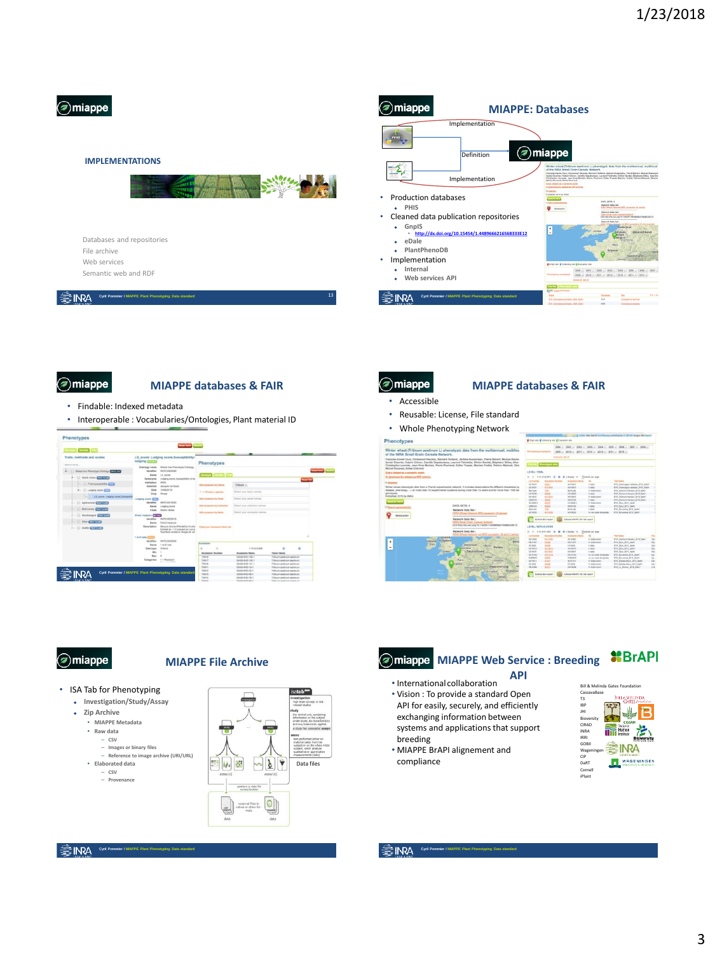

### **IMPLEMENTATIONS**



#### Databases and repositories File archive Web services Semantic web and RDF

**Cyril Pommier / MIAPPE Plant Phenotyping Data standard** 





## niappe)

### **MIAPPE databases & FAIR**

- Findable: Indexed metadata
- Interoperable : Vocabularies/Ontologies, Plant material ID

| <b>State College</b>                                                                           |                                                                                                                                                                                      | <b>Fassi Form Thomas</b>                                                                                   |                                             |                                       |                                                          |                                                                                             |                   |  |  |
|------------------------------------------------------------------------------------------------|--------------------------------------------------------------------------------------------------------------------------------------------------------------------------------------|------------------------------------------------------------------------------------------------------------|---------------------------------------------|---------------------------------------|----------------------------------------------------------|---------------------------------------------------------------------------------------------|-------------------|--|--|
| Trails, methods and scales<br>Story of a barrow<br><b>Meal Ing President College Christian</b> | LS score: Lodging score.Susceptibility t<br><b>Indeling commo</b><br>Wheel Into Phendyjee Drivings<br><b>Grisdage warner</b><br>ARPED COOKIER<br>Variation<br>UE some<br><b>Hans</b> |                                                                                                            | Phenotypes<br><b>Search Provid</b><br>$-$   |                                       |                                                          |                                                                                             |                   |  |  |
| - 17 Annis steen China and                                                                     | Renneyres                                                                                                                                                                            | Containing excited Statementhillity to link                                                                |                                             |                                       |                                                          |                                                                                             | <b>Search Sel</b> |  |  |
| <b>C Fest warehold (CT)</b>                                                                    | Institution<br><b>Buler Car</b>                                                                                                                                                      | NHA<br>Jacques La Grazie                                                                                   |                                             | Act occasion to Series                | Treasure                                                 |                                                                                             |                   |  |  |
| <b>A. I. Leavy your gift</b>                                                                   | Onto<br>Cross                                                                                                                                                                        | 10120420-01<br><b>Wheat</b>                                                                                | <b>South Charles &amp; scander</b>          |                                       | Dated your lower-teamer.                                 |                                                                                             |                   |  |  |
| 115 are trep are handed                                                                        | Linkying score (277)                                                                                                                                                                 |                                                                                                            |                                             | <b>ASE Accepted by Panel</b>          | Sales Area mated survey                                  |                                                                                             |                   |  |  |
| - 11 Approvement Charlestown                                                                   | <b>Unrithm</b><br><b>Name</b>                                                                                                                                                        | ased ozvislal<br>Lodging komb                                                                              |                                             | And annexeles by European             | Trainer and studenthum building                          |                                                                                             |                   |  |  |
| - [.] Shikcaboon C.Tratition                                                                   | Class                                                                                                                                                                                | Attack stress                                                                                              |                                             |                                       |                                                          |                                                                                             |                   |  |  |
| - 17 Mondalington Chrysler<br>- Cow Chapters                                                   | <b>Direct measure CONTI</b><br>mother<br>Narea                                                                                                                                       | VARPO DISIDENE<br><b>Dead memory</b>                                                                       |                                             | <b>Add excessive by Not'd</b>         | Falsch exist accounting batters                          |                                                                                             |                   |  |  |
| - 11 Guilty Christmas                                                                          | <b>Description</b>                                                                                                                                                                   | Masure cleaner of Model to Annals<br>Estate de 1-12 pannent en compa<br>Succhen vention of family via cars |                                             | Florida scient Mosterwood Statist Aut |                                                          |                                                                                             |                   |  |  |
|                                                                                                | 1 to 9 new 2002<br><b>Wenther</b>                                                                                                                                                    | WAPO OUGAN                                                                                                 |                                             |                                       |                                                          |                                                                                             |                   |  |  |
|                                                                                                | <b>Hans</b>                                                                                                                                                                          | 7 Total Mill Analysis                                                                                      | <b><i><u><i><u>Anmagina</u></i></u></i></b> |                                       |                                                          |                                                                                             |                   |  |  |
|                                                                                                | <b>Cate false</b>                                                                                                                                                                    | Ordered                                                                                                    | ٠                                           |                                       | 1-12032-006                                              | ٠                                                                                           | ٠                 |  |  |
|                                                                                                | w<br>Max                                                                                                                                                                             |                                                                                                            |                                             | <b>Accounts: Number</b>               | Assuming Naves                                           | <b>Tenni News</b>                                                                           |                   |  |  |
|                                                                                                | Categories                                                                                                                                                                           | 1 - Restatent<br><b>B</b> A at An and Bay                                                                  | Tagical<br>TABO<br>TXAIA                    |                                       | 12120-0103-125-1<br>02408-0163-122-F<br>12128-0101 141-1 | Tribuy's profitable positions<br>Tribuan apatrons applicant<br>Tribuck profits a politicals |                   |  |  |

## niappe)

Phenotypes

E  $\sqrt{ }$ 

### **MIAPPE databases & FAIR**

- Accessible
- Reusable: License, File standard
- Whole Phenotyping Netw

Winter wheat (Triticum aestivum L.) phenotypic data from the mu eala Network,<br>nas, Semari Rulaut, Jédesr Auzerveau, Par<br>e Ossetumeus, Laured Falshette, Olivier Garde<br>de, Merre Pluchent, Oldier Trapée, Macine Tratt

|                                                                                   |                                                                                                                                                                                                                                                           |                                                                                                                                                                                               |                            |                                |                                                         | and all cashed Man Arts & Countries And Annual Advertisers (2), \$1700. Imagery All Internet |                   |  |  |  |
|-----------------------------------------------------------------------------------|-----------------------------------------------------------------------------------------------------------------------------------------------------------------------------------------------------------------------------------------------------------|-----------------------------------------------------------------------------------------------------------------------------------------------------------------------------------------------|----------------------------|--------------------------------|---------------------------------------------------------|----------------------------------------------------------------------------------------------|-------------------|--|--|--|
|                                                                                   |                                                                                                                                                                                                                                                           | @Oran als @Collectra ets @Enduator site                                                                                                                                                       |                            |                                |                                                         |                                                                                              |                   |  |  |  |
| aestivum L) phenotypic data from the multiannual, multiloc<br>In Ceresla Natwork. |                                                                                                                                                                                                                                                           | 2000 x. 2007 x. 2003 x. 2009 x. 2004 x. 2008 x. 2008 x. 2007 x. 2009 x.<br>2000 x 2010 x 2011 x 2012 x 2013 x 2014 x 2015 x<br>Presidente enterigées<br><b><i><u>SHIPPER AT ANCHE</u></i></b> |                            |                                |                                                         |                                                                                              |                   |  |  |  |
|                                                                                   | sul Heumas, Bernard Rolland, Järbme Augenneer, Pierre Bilrard, Maryne Brenor<br>r. Carolife Desetturesce, Laurent Falchetto, Oliviar Gardet, Brichane Gilleo, Alex 1<br>as Morlais, Playre Plushard, Didler Trends, Maximu Traduit, Pairice Wolvauk, Odra |                                                                                                                                                                                               | <b>Phoenofyton manu</b>    |                                |                                                         |                                                                                              |                   |  |  |  |
|                                                                                   |                                                                                                                                                                                                                                                           | LINKLITERAL                                                                                                                                                                                   |                            |                                |                                                         |                                                                                              |                   |  |  |  |
| esting.                                                                           |                                                                                                                                                                                                                                                           | $\sim$                                                                                                                                                                                        | 1.10-210-075 (8)<br>×<br>٠ | (Uklahey All                   | * Dracate per prope                                     |                                                                                              |                   |  |  |  |
|                                                                                   |                                                                                                                                                                                                                                                           | Lot Austine                                                                                                                                                                                   | Accessive la serie         | <b>Accounting States</b>       | ×                                                       | <b><i><u>Trial Assess</u></i></b>                                                            |                   |  |  |  |
|                                                                                   |                                                                                                                                                                                                                                                           | AO 1890                                                                                                                                                                                       | <b>MON</b>                 | ach user                       | I toda                                                  | MTA Chemosphe carbone, 2815, Bash-                                                           |                   |  |  |  |
|                                                                                   | on a French experimental network. I includes observations for different characters lac                                                                                                                                                                    | AD14301                                                                                                                                                                                       | ACTIVITY                   | <b>ADVANT</b>                  | 1 miles                                                 | 674 Chevrologic columns, 2015, East-                                                         |                   |  |  |  |
|                                                                                   | than 10 experimental locations during more than 15 years and for more than 1700 win                                                                                                                                                                       | <b>Startinghi</b>                                                                                                                                                                             | t en                       | <b>Bonnate</b>                 | <b>6 Subaratras</b>                                     | ATH. Democraticized W10, SMA1                                                                |                   |  |  |  |
|                                                                                   |                                                                                                                                                                                                                                                           | <b>AD150N</b>                                                                                                                                                                                 | <b>SELES</b>               | ADVANCE                        | <b>Lingha</b>                                           | 5724, Classroot Farrant, 2013, East 1.                                                       |                   |  |  |  |
|                                                                                   |                                                                                                                                                                                                                                                           | AEFOORT                                                                                                                                                                                       | ACCURATE                   | guine gains                    | <b>E-Subaranta</b>                                      | BTH, Democratical SETS, SMA1                                                                 |                   |  |  |  |
|                                                                                   |                                                                                                                                                                                                                                                           | ARMYON                                                                                                                                                                                        | ww                         | AMEDIA                         | 1 mole                                                  | HTH Shemond Paramet Hitch Rady's                                                             |                   |  |  |  |
|                                                                                   | DATA RETR: 4                                                                                                                                                                                                                                              | DESIGNS &                                                                                                                                                                                     | <b>SERVE</b>               | textual                        | <b>1 Suba intract</b>                                   | Who days wink data!                                                                          |                   |  |  |  |
|                                                                                   |                                                                                                                                                                                                                                                           | ARMINIA                                                                                                                                                                                       | shine                      | AMERICA                        | <b>E Suite</b>                                          | <b>BTO, Stevi, SEPR, GelAT</b>                                                               |                   |  |  |  |
|                                                                                   | <b>Natural Cala Ret</b>                                                                                                                                                                                                                                   | Dennyler                                                                                                                                                                                      | ter                        | Borrow and                     | 1 miles                                                 | ST4 Sponsors, 3010, Senty                                                                    |                   |  |  |  |
|                                                                                   | A 2RC accessor (A series)                                                                                                                                                                                                                                 | ADOUDDE                                                                                                                                                                                       | ADUSER                     | ADAMES                         | at lear hate bruining                                   | <b>STA Sinisprin 2019, Belli</b>                                                             |                   |  |  |  |
|                                                                                   | <b>Network Date Bet:</b><br><b>INTA Sever Gran</b><br>DOI: http://dx.doi.org/10.15454/1.4489090010200000000000                                                                                                                                            | LEVEL (REPUBLICATION)                                                                                                                                                                         | <b>Editect APS CORP.</b>   | Esteria blakes lian fas delays |                                                         |                                                                                              |                   |  |  |  |
|                                                                                   | <b>Network Data Set</b>                                                                                                                                                                                                                                   |                                                                                                                                                                                               | 1.12.1031.634              | ribustry, 41                   | * make per sogn                                         |                                                                                              |                   |  |  |  |
|                                                                                   | <b>FARIA MANUF NATIONAL</b><br>thrutwell                                                                                                                                                                                                                  | Lot Austine                                                                                                                                                                                   | <b>Accessive Hundred</b>   | <b>Economist Marine</b>        | <b>SS</b>                                               | <b>Trial Stores</b>                                                                          | <b>Titu</b>       |  |  |  |
| <b>Instant</b>                                                                    | Kingdom                                                                                                                                                                                                                                                   | HD GONE                                                                                                                                                                                       | <b>BRAZING</b>             | <b>RE1206</b>                  | <b>6 Yalka intrant</b>                                  | 6714 Clarence Farrant 2015, Galyl                                                            | <b>Clas</b>       |  |  |  |
| $T$ Easy                                                                          | <b>Lens</b>                                                                                                                                                                                                                                               | EMELLINE                                                                                                                                                                                      | <b>STORY</b>               | <b>SHIPALE</b>                 | <b>E-Suba Intern</b>                                    | <b>BTH, Slavy, JRFR, SAINT</b>                                                               | m                 |  |  |  |
|                                                                                   | Archerbert<br><b><i>Filtering</i></b><br>Polska                                                                                                                                                                                                           | OHMA                                                                                                                                                                                          | 1550                       | trians                         | 1 miles                                                 | <b>STVA Dave, SEAR, SWAY</b>                                                                 |                   |  |  |  |
|                                                                                   |                                                                                                                                                                                                                                                           | <b>ADVANCE</b>                                                                                                                                                                                | Airman                     | $m/r$ pc 1.5                   | <b>E finale</b>                                         | MTH SECO, MTR SAVAY                                                                          | m                 |  |  |  |
|                                                                                   | Deutschland<br>Lizieten                                                                                                                                                                                                                                   | AD VIOLET                                                                                                                                                                                     | AGE BOX                    | AG4 MEM                        | 1 help                                                  | MTA, Dave, 2019, Saldy)                                                                      |                   |  |  |  |
|                                                                                   | Cestus                                                                                                                                                                                                                                                    | ADVENIE                                                                                                                                                                                       | <b>ALC21IR</b>             | A(16, 2, 9)                    | <b>PE lost mails for giving</b>                         | <b>STA SO-Getta STA Bont</b>                                                                 | i.                |  |  |  |
|                                                                                   |                                                                                                                                                                                                                                                           | <b>NAME</b>                                                                                                                                                                                   | <b>VAN</b>                 | <b>ROMANZ</b>                  | ni sur-leala keyatalas                                  | 1974 Animates, \$745 Build                                                                   | tu.               |  |  |  |
|                                                                                   |                                                                                                                                                                                                                                                           |                                                                                                                                                                                               |                            |                                |                                                         |                                                                                              |                   |  |  |  |
|                                                                                   | <b>Park</b><br><b>WANTED</b>                                                                                                                                                                                                                              | <b>ADVIET</b>                                                                                                                                                                                 | <b>ATIVE</b>               | A(11131)                       | E. Subjections                                          | MTH SAFBAL-Mark, MTG SAA1                                                                    | <b>Yes</b>        |  |  |  |
|                                                                                   | rance<br>×<br>Magyardruzas<br><b>Sentimentalent</b>                                                                                                                                                                                                       | DESMIT<br><b>LM12146</b>                                                                                                                                                                      | <b>HAVE</b><br><b>HM</b>   | <b>EPOULER</b><br>ENTRING      | <b>A. Subject to those</b><br><b>6-holiday interact</b> | 6714 Salvage Mora, 2013, Salvin<br>BFM 1A Hinson, MFA Search                                 | <b>Car</b><br>141 |  |  |  |



### **MIAPPE File Archive**





**Cyril Pommier / MAPPE Plant Phenotyping Data standard Cyrill Contact Phenotyping Data standard and and all property** 

– **CSV** – **Provenance**

# **MIAPPE Web Service : Breeding #BrAPI**

- **API** • Internationalcollaboration
- Vision : To provide a standard Open API for easily, securely, and efficiently exchanging information between systems and applications that support breeding
- MIAPPE BrAPI alignement and compliance



**Cyril Pommier / MIAPPE Plant Phenotyping Data standard**